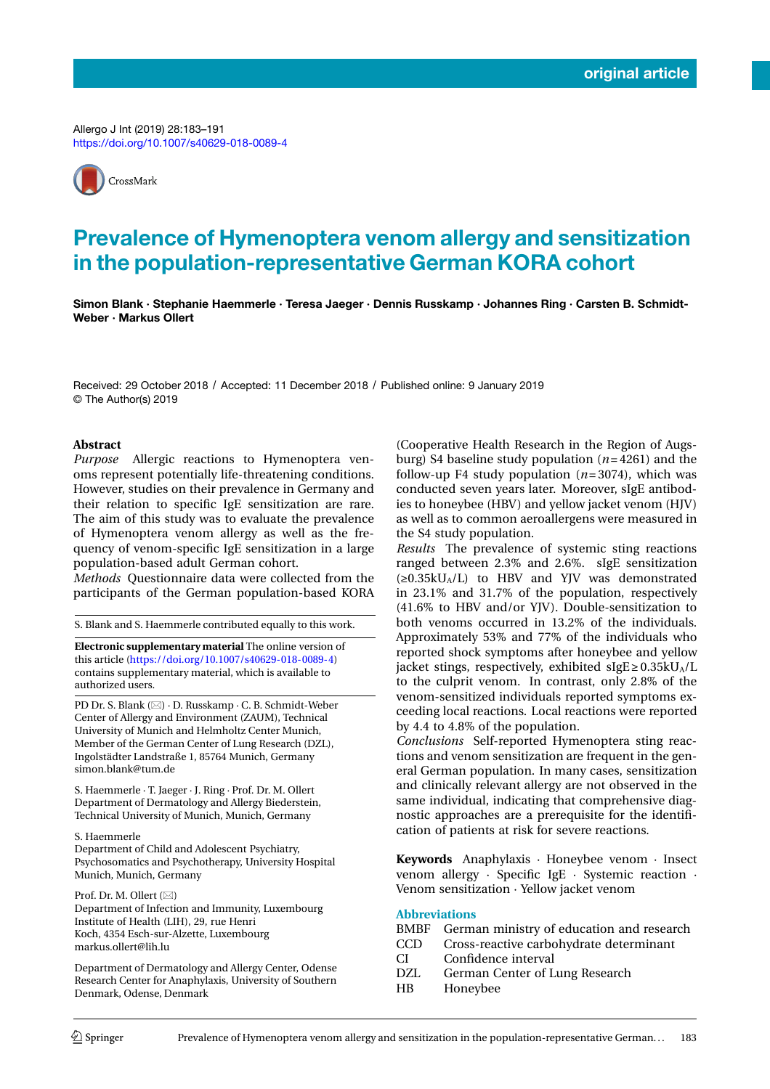Allergo J Int (2019) 28:183–191 <https://doi.org/10.1007/s40629-018-0089-4>



# **Prevalence of Hymenoptera venom allergy and sensitization in the population-representative German KORA cohort**

**Simon Blank · Stephanie Haemmerle · Teresa Jaeger · Dennis Russkamp · Johannes Ring · Carsten B. Schmidt-Weber · Markus Ollert**

Received: 29 October 2018 / Accepted: 11 December 2018 / Published online: 9 January 2019 © The Author(s) 2019

#### **Abstract**

*Purpose* Allergic reactions to Hymenoptera venoms represent potentially life-threatening conditions. However, studies on their prevalence in Germany and their relation to specific IgE sensitization are rare. The aim of this study was to evaluate the prevalence of Hymenoptera venom allergy as well as the frequency of venom-specific IgE sensitization in a large population-based adult German cohort.

*Methods* Questionnaire data were collected from the participants of the German population-based KORA

S. Blank and S. Haemmerle contributed equally to this work.

**Electronic supplementary material** The online version of this article [\(https://doi.org/10.1007/s40629-018-0089-4\)](https://doi.org/10.1007/s40629-018-0089-4) contains supplementary material, which is available to authorized users.

PD Dr. S. Blank ( $\boxtimes$ ) · D. Russkamp · C. B. Schmidt-Weber Center of Allergy and Environment (ZAUM), Technical University of Munich and Helmholtz Center Munich, Member of the German Center of Lung Research (DZL), Ingolstädter Landstraße 1, 85764 Munich, Germany simon.blank@tum.de

S. Haemmerle · T. Jaeger · J. Ring · Prof. Dr. M. Ollert Department of Dermatology and Allergy Biederstein, Technical University of Munich, Munich, Germany

#### S. Haemmerle

Department of Child and Adolescent Psychiatry, Psychosomatics and Psychotherapy, University Hospital Munich, Munich, Germany

Prof. Dr. M. Ollert ( $\boxtimes$ ) Department of Infection and Immunity, Luxembourg Institute of Health (LIH), 29, rue Henri Koch, 4354 Esch-sur-Alzette, Luxembourg markus.ollert@lih.lu

Department of Dermatology and Allergy Center, Odense Research Center for Anaphylaxis, University of Southern Denmark, Odense, Denmark

(Cooperative Health Research in the Region of Augsburg) S4 baseline study population (*n*= 4261) and the follow-up F4 study population  $(n=3074)$ , which was conducted seven years later. Moreover, sIgE antibodies to honeybee (HBV) and yellow jacket venom (HJV) as well as to common aeroallergens were measured in the S4 study population.

*Results* The prevalence of systemic sting reactions ranged between 2.3% and 2.6%. sIgE sensitization  $(\geq 0.35kU_A/L)$  to HBV and YJV was demonstrated in 23.1% and 31.7% of the population, respectively (41.6% to HBV and/or YJV). Double-sensitization to both venoms occurred in 13.2% of the individuals. Approximately 53% and 77% of the individuals who reported shock symptoms after honeybee and yellow jacket stings, respectively, exhibited sIgE≥0.35kU<sub>A</sub>/L to the culprit venom. In contrast, only 2.8% of the venom-sensitized individuals reported symptoms exceeding local reactions. Local reactions were reported by 4.4 to 4.8% of the population.

*Conclusions* Self-reported Hymenoptera sting reactions and venom sensitization are frequent in the general German population. In many cases, sensitization and clinically relevant allergy are not observed in the same individual, indicating that comprehensive diagnostic approaches are a prerequisite for the identification of patients at risk for severe reactions.

**Keywords** Anaphylaxis · Honeybee venom · Insect venom allergy · Specific IgE · Systemic reaction · Venom sensitization · Yellow jacket venom

#### **Abbreviations**

- BMBF German ministry of education and research
- CCD Cross-reactive carbohydrate determinant
- CI Confidence interval
- DZL German Center of Lung Research
- HB Honeybee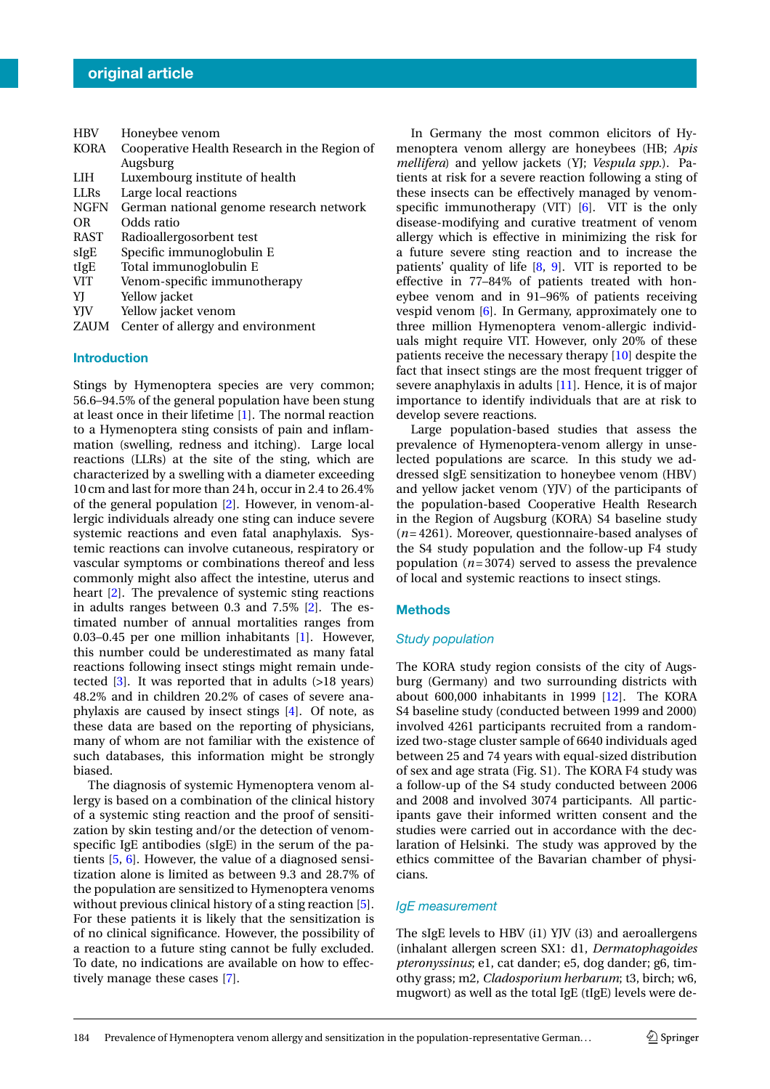| <b>HBV</b>  | Honeybee venom                               |
|-------------|----------------------------------------------|
| KORA        | Cooperative Health Research in the Region of |
|             | Augsburg                                     |
| LIH         | Luxembourg institute of health               |
| <b>LLRs</b> | Large local reactions                        |
| <b>NGFN</b> | German national genome research network      |
| OR.         | Odds ratio                                   |
| <b>RAST</b> | Radioallergosorbent test                     |
| sIgE        | Specific immunoglobulin E                    |
| tIgE        | Total immunoglobulin E                       |
| <b>VIT</b>  | Venom-specific immunotherapy                 |
| YJ          | Yellow jacket                                |
| YIV         | Yellow jacket venom                          |
| <b>ZAUM</b> | Center of allergy and environment            |
|             |                                              |

## **Introduction**

Stings by Hymenoptera species are very common; 56.6–94.5% of the general population have been stung at least once in their lifetime [\[1\]](#page-7-0). The normal reaction to a Hymenoptera sting consists of pain and inflammation (swelling, redness and itching). Large local reactions (LLRs) at the site of the sting, which are characterized by a swelling with a diameter exceeding 10 cm and last for more than 24 h, occur in 2.4 to 26.4% of the general population [\[2\]](#page-7-1). However, in venom-allergic individuals already one sting can induce severe systemic reactions and even fatal anaphylaxis. Systemic reactions can involve cutaneous, respiratory or vascular symptoms or combinations thereof and less commonly might also affect the intestine, uterus and heart [\[2\]](#page-7-1). The prevalence of systemic sting reactions in adults ranges between 0.3 and 7.5% [\[2\]](#page-7-1). The estimated number of annual mortalities ranges from 0.03–0.45 per one million inhabitants [\[1\]](#page-7-0). However, this number could be underestimated as many fatal reactions following insect stings might remain undetected [\[3\]](#page-7-2). It was reported that in adults (>18 years) 48.2% and in children 20.2% of cases of severe anaphylaxis are caused by insect stings [\[4\]](#page-8-0). Of note, as these data are based on the reporting of physicians, many of whom are not familiar with the existence of such databases, this information might be strongly biased.

The diagnosis of systemic Hymenoptera venom allergy is based on a combination of the clinical history of a systemic sting reaction and the proof of sensitization by skin testing and/or the detection of venomspecific IgE antibodies (sIgE) in the serum of the patients [\[5,](#page-8-1) [6\]](#page-8-2). However, the value of a diagnosed sensitization alone is limited as between 9.3 and 28.7% of the population are sensitized to Hymenoptera venoms without previous clinical history of a sting reaction [\[5\]](#page-8-1). For these patients it is likely that the sensitization is of no clinical significance. However, the possibility of a reaction to a future sting cannot be fully excluded. To date, no indications are available on how to effectively manage these cases [\[7\]](#page-8-3).

In Germany the most common elicitors of Hymenoptera venom allergy are honeybees (HB; *Apis mellifera*) and yellow jackets (YJ; *Vespula spp*.). Patients at risk for a severe reaction following a sting of these insects can be effectively managed by venomspecific immunotherapy (VIT) [\[6\]](#page-8-2). VIT is the only disease-modifying and curative treatment of venom allergy which is effective in minimizing the risk for a future severe sting reaction and to increase the patients' quality of life [\[8,](#page-8-4) [9\]](#page-8-5). VIT is reported to be effective in 77–84% of patients treated with honeybee venom and in 91–96% of patients receiving vespid venom [\[6\]](#page-8-2). In Germany, approximately one to three million Hymenoptera venom-allergic individuals might require VIT. However, only 20% of these patients receive the necessary therapy [\[10\]](#page-8-6) despite the fact that insect stings are the most frequent trigger of severe anaphylaxis in adults [\[11\]](#page-8-7). Hence, it is of major importance to identify individuals that are at risk to develop severe reactions.

Large population-based studies that assess the prevalence of Hymenoptera-venom allergy in unselected populations are scarce. In this study we addressed sIgE sensitization to honeybee venom (HBV) and yellow jacket venom (YJV) of the participants of the population-based Cooperative Health Research in the Region of Augsburg (KORA) S4 baseline study (*n*= 4261). Moreover, questionnaire-based analyses of the S4 study population and the follow-up F4 study population  $(n=3074)$  served to assess the prevalence of local and systemic reactions to insect stings.

## **Methods**

#### *Study population*

The KORA study region consists of the city of Augsburg (Germany) and two surrounding districts with about 600,000 inhabitants in 1999 [\[12\]](#page-8-8). The KORA S4 baseline study (conducted between 1999 and 2000) involved 4261 participants recruited from a randomized two-stage cluster sample of 6640 individuals aged between 25 and 74 years with equal-sized distribution of sex and age strata (Fig. S1). The KORA F4 study was a follow-up of the S4 study conducted between 2006 and 2008 and involved 3074 participants. All participants gave their informed written consent and the studies were carried out in accordance with the declaration of Helsinki. The study was approved by the ethics committee of the Bavarian chamber of physicians.

#### *IgE measurement*

The sIgE levels to HBV (i1) YJV (i3) and aeroallergens (inhalant allergen screen SX1: d1, *Dermatophagoides pteronyssinus*; e1, cat dander; e5, dog dander; g6, timothy grass; m2, *Cladosporium herbarum*; t3, birch; w6, mugwort) as well as the total IgE (tIgE) levels were de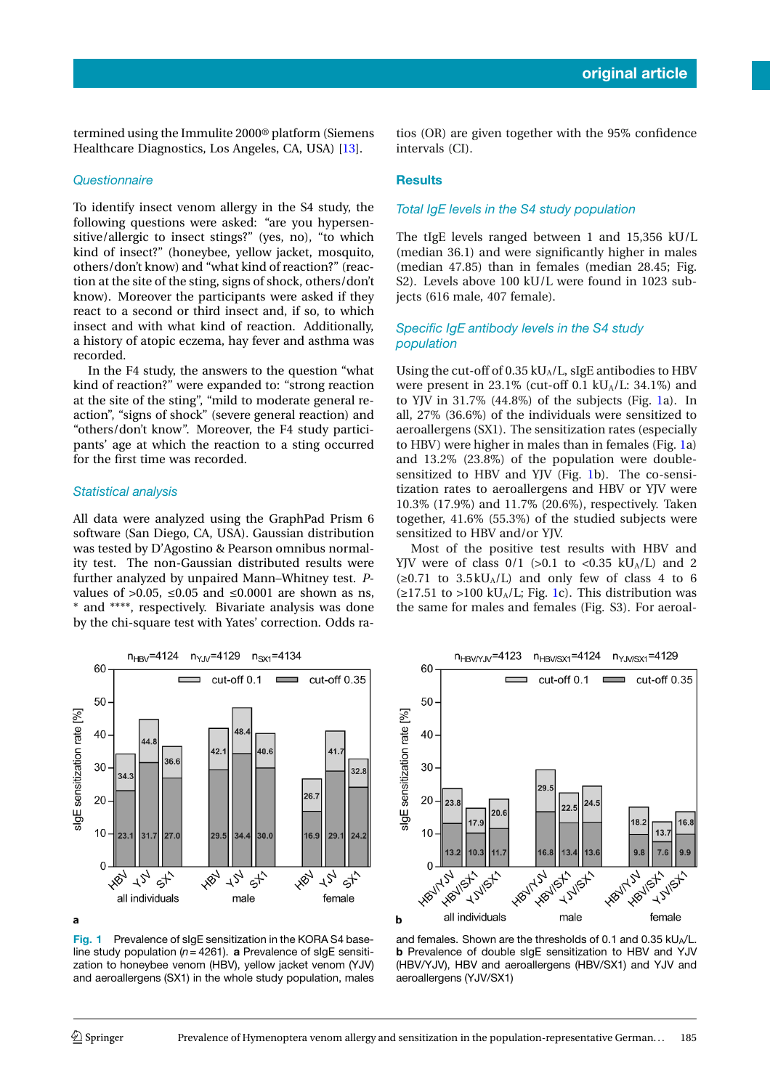termined using the Immulite 2000® platform (Siemens Healthcare Diagnostics, Los Angeles, CA, USA) [\[13\]](#page-8-9).

#### *Questionnaire*

To identify insect venom allergy in the S4 study, the following questions were asked: "are you hypersensitive/allergic to insect stings?" (yes, no), "to which kind of insect?" (honeybee, yellow jacket, mosquito, others/don't know) and "what kind of reaction?" (reaction at the site of the sting, signs of shock, others/don't know). Moreover the participants were asked if they react to a second or third insect and, if so, to which insect and with what kind of reaction. Additionally, a history of atopic eczema, hay fever and asthma was recorded.

In the F4 study, the answers to the question "what kind of reaction?" were expanded to: "strong reaction at the site of the sting", "mild to moderate general reaction", "signs of shock" (severe general reaction) and "others/don't know". Moreover, the F4 study participants' age at which the reaction to a sting occurred for the first time was recorded.

# *Statistical analysis*

All data were analyzed using the GraphPad Prism 6 software (San Diego, CA, USA). Gaussian distribution was tested by D'Agostino & Pearson omnibus normality test. The non-Gaussian distributed results were further analyzed by unpaired Mann–Whitney test. *P*values of  $>0.05$ ,  $\leq 0.05$  and  $\leq 0.0001$  are shown as ns, \* and \*\*\*\*, respectively. Bivariate analysis was done by the chi-square test with Yates' correction. Odds ra-



<span id="page-2-0"></span>**Fig. 1** Prevalence of sIgE sensitization in the KORA S4 baseline study population (*n*= 4261). **a** Prevalence of sIgE sensitization to honeybee venom (HBV), yellow jacket venom (YJV) and aeroallergens (SX1) in the whole study population, males

tios (OR) are given together with the 95% confidence intervals (CI).

#### **Results**

#### *Total IgE levels in the S4 study population*

The tIgE levels ranged between 1 and 15,356 kU/L (median 36.1) and were significantly higher in males (median 47.85) than in females (median 28.45; Fig. S2). Levels above 100 kU/L were found in 1023 subjects (616 male, 407 female).

# *Specific IgE antibody levels in the S4 study population*

Using the cut-off of 0.35 kU $_A/L$ , sIgE antibodies to HBV were present in 23.1% (cut-off 0.1 kU $_A/L$ : 34.1%) and to YJV in 31.7% (44.8%) of the subjects (Fig. [1a](#page-2-0)). In all, 27% (36.6%) of the individuals were sensitized to aeroallergens (SX1). The sensitization rates (especially to HBV) were higher in males than in females (Fig. [1a](#page-2-0)) and 13.2% (23.8%) of the population were doublesensitized to HBV and YJV (Fig. [1b](#page-2-0)). The co-sensitization rates to aeroallergens and HBV or YJV were 10.3% (17.9%) and 11.7% (20.6%), respectively. Taken together, 41.6% (55.3%) of the studied subjects were sensitized to HBV and/or YJV.

Most of the positive test results with HBV and YJV were of class  $0/1$  (>0.1 to <0.35 kU<sub>A</sub>/L) and 2  $(\geq 0.71$  to 3.5 kU<sub>A</sub>/L) and only few of class 4 to 6  $(\geq 17.51$  to  $> 100$  kU<sub>A</sub>/L; Fig. [1c](#page-2-0)). This distribution was the same for males and females (Fig. S3). For aeroal-



and females. Shown are the thresholds of 0.1 and 0.35 kUA/L. **b** Prevalence of double sIgE sensitization to HBV and YJV (HBV/YJV), HBV and aeroallergens (HBV/SX1) and YJV and aeroallergens (YJV/SX1)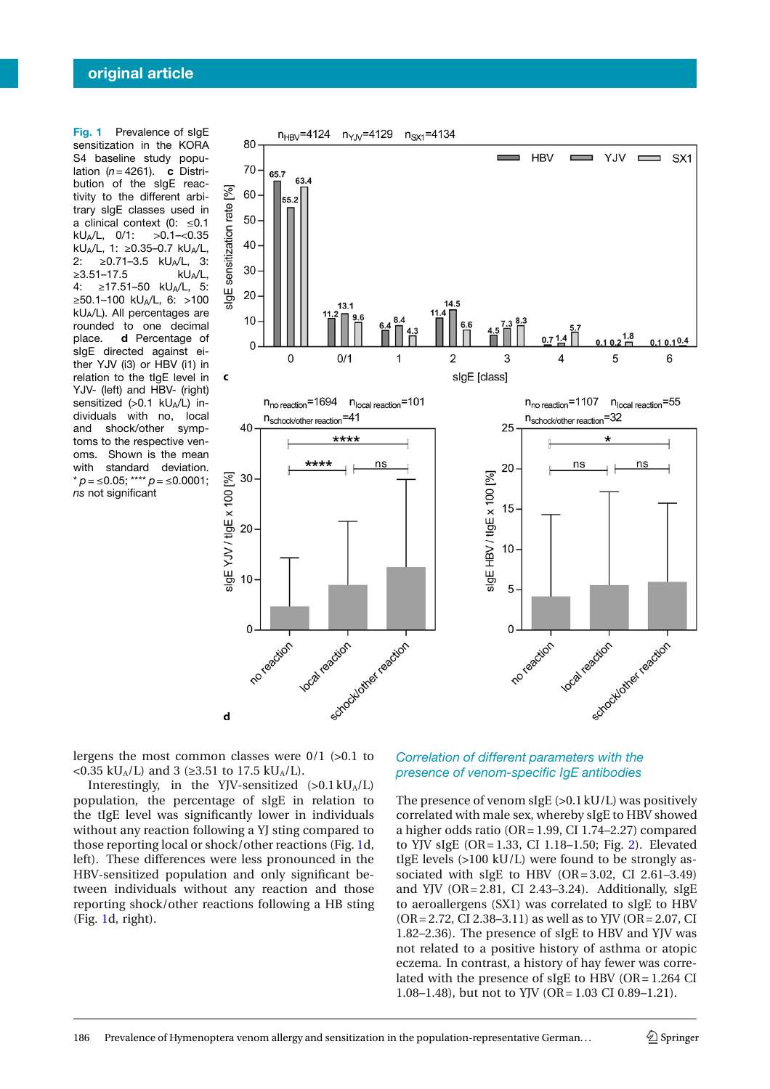**Fig. 1** Prevalence of sIgE sensitization in the KORA S4 baseline study population (*n*= 4261). **c** Distribution of the sIgE reactivity to the different arbitrary sIgE classes used in a clinical context  $(0: \le 0.1$ <br> $kU_A/L$ ,  $0/1: >0.1$ -<0.35  $kU_A/L$ , 0/1:  $kU_A/L$ , 1: ≥0.35-0.7  $kU_A/L$ , 2: ≥0.71–3.5 kUA/L, 3: ≥3.51–17.5 kUA/L, 4: ≥17.51–50 kUA/L, 5: ≥50.1–100 kUA/L, 6: >100 kUA/L). All percentages are rounded to one decimal place. **d** Percentage of sIgE directed against either YJV (i3) or HBV (i1) in relation to the tIgE level in YJV- (left) and HBV- (right) sensitized (>0.1 kUA/L) individuals with no, local and shock/other symptoms to the respective venoms. Shown is the mean with standard deviation.  $p = \leq 0.05$ ; \*\*\*\*  $p = \leq 0.0001$ ; *ns* not signifcant



lergens the most common classes were 0/1 (>0.1 to <0.35 kU<sub>A</sub>/L) and 3 (≥3.51 to 17.5 kU<sub>A</sub>/L).

Interestingly, in the YJV-sensitized  $(>0.1 \text{ kU}_A/L)$ population, the percentage of sIgE in relation to the tIgE level was significantly lower in individuals without any reaction following a YJ sting compared to those reporting local or shock/other reactions (Fig. [1d](#page-2-0), left). These differences were less pronounced in the HBV-sensitized population and only significant between individuals without any reaction and those reporting shock/other reactions following a HB sting (Fig. [1d](#page-2-0), right).

# *Correlation of different parameters with the presence of venom-specific IgE antibodies*

The presence of venom sIgE (>0.1 kU/L) was positively correlated with male sex, whereby sIgE to HBV showed a higher odds ratio (OR =  $1.99$ , CI 1.74–2.27) compared to YJV sIgE  $(OR = 1.33, CI \ 1.18 - 1.50; Fig. 2)$  $(OR = 1.33, CI \ 1.18 - 1.50; Fig. 2)$ . Elevated tIgE levels (>100 kU/L) were found to be strongly associated with sIgE to HBV  $(OR = 3.02, CI 2.61 - 3.49)$ and YJV ( $OR = 2.81$ ,  $CI$  2.43–3.24). Additionally, sIgE to aeroallergens (SX1) was correlated to sIgE to HBV  $(OR = 2.72, CI \, 2.38 - 3.11)$  as well as to YJV  $(OR = 2.07, CI$ 1.82–2.36). The presence of sIgE to HBV and YJV was not related to a positive history of asthma or atopic eczema. In contrast, a history of hay fewer was correlated with the presence of sIgE to HBV ( $OR = 1.264$  CI 1.08–1.48), but not to YJV (OR = 1.03 CI 0.89–1.21).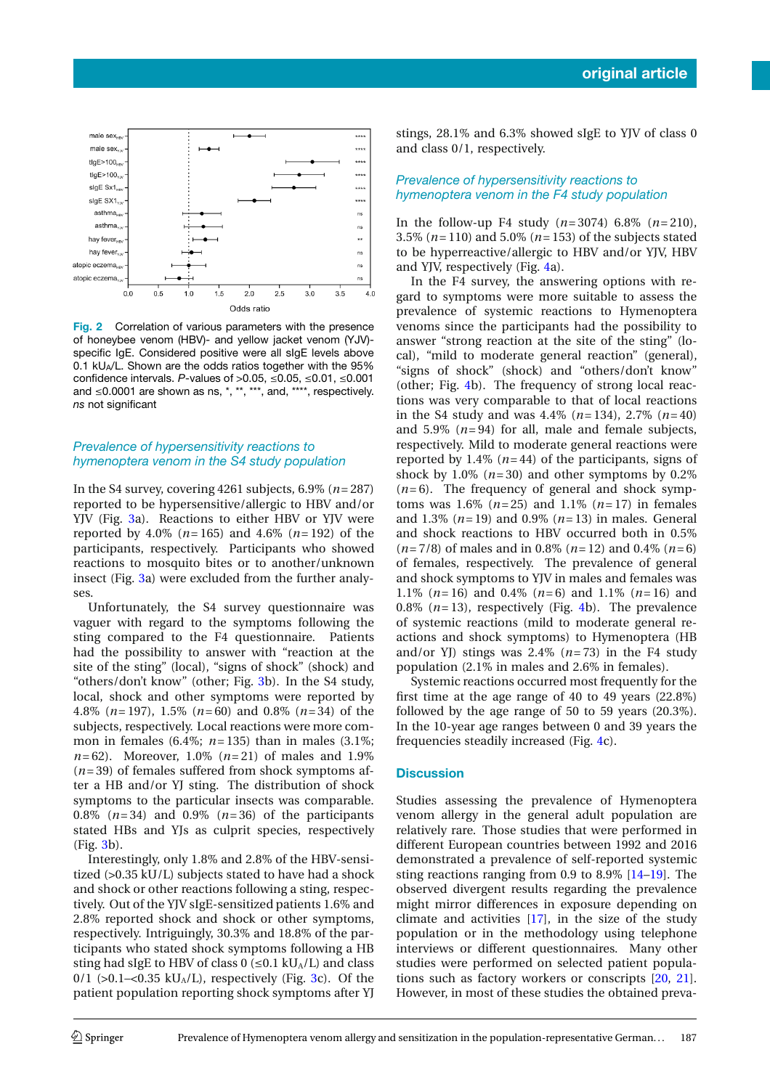

<span id="page-4-0"></span>**Fig. 2** Correlation of various parameters with the presence of honeybee venom (HBV)- and yellow jacket venom (YJV) specific IgE. Considered positive were all sIgE levels above 0.1 kU<sub>A</sub>/L. Shown are the odds ratios together with the  $95\%$ confidence intervals. *P*-values of  $>0.05$ ,  $\leq 0.05$ ,  $\leq 0.01$ ,  $\leq 0.001$ and ≤0.0001 are shown as ns, \*, \*\*, \*\*\*, and, \*\*\*\*, respectively. *ns* not signifcant

# *Prevalence of hypersensitivity reactions to hymenoptera venom in the S4 study population*

In the S4 survey, covering 4261 subjects, 6.9% (*n*= 287) reported to be hypersensitive/allergic to HBV and/or YJV (Fig. [3a](#page-5-0)). Reactions to either HBV or YJV were reported by 4.0% (*n*= 165) and 4.6% (*n*= 192) of the participants, respectively. Participants who showed reactions to mosquito bites or to another/unknown insect (Fig. [3a](#page-5-0)) were excluded from the further analyses.

Unfortunately, the S4 survey questionnaire was vaguer with regard to the symptoms following the sting compared to the F4 questionnaire. Patients had the possibility to answer with "reaction at the site of the sting" (local), "signs of shock" (shock) and "others/don't know" (other; Fig. [3b](#page-5-0)). In the S4 study, local, shock and other symptoms were reported by 4.8% (*n*= 197), 1.5% (*n*= 60) and 0.8% (*n*= 34) of the subjects, respectively. Local reactions were more common in females (6.4%; *n*= 135) than in males (3.1%;  $n=62$ ). Moreover, 1.0%  $(n=21)$  of males and 1.9% (*n*= 39) of females suffered from shock symptoms after a HB and/or YJ sting. The distribution of shock symptoms to the particular insects was comparable. 0.8% (*n*= 34) and 0.9% (*n*= 36) of the participants stated HBs and YJs as culprit species, respectively (Fig. [3b](#page-5-0)).

Interestingly, only 1.8% and 2.8% of the HBV-sensitized (>0.35 kU/L) subjects stated to have had a shock and shock or other reactions following a sting, respectively. Out of the YJV sIgE-sensitized patients 1.6% and 2.8% reported shock and shock or other symptoms, respectively. Intriguingly, 30.3% and 18.8% of the participants who stated shock symptoms following a HB sting had sIgE to HBV of class  $0 \le 0.1 \text{ kU}_{A}/L$  and class 0/1 ( $>0.1$ – $<$ 0.35 kU<sub>A</sub>/L), respectively (Fig. [3c](#page-5-0)). Of the patient population reporting shock symptoms after YJ

stings, 28.1% and 6.3% showed sIgE to YJV of class 0 and class 0/1, respectively.

# *Prevalence of hypersensitivity reactions to hymenoptera venom in the F4 study population*

In the follow-up F4 study (*n*= 3074) 6.8% (*n*= 210), 3.5% (*n*= 110) and 5.0% (*n*= 153) of the subjects stated to be hyperreactive/allergic to HBV and/or YJV, HBV and YJV, respectively (Fig. [4a](#page-6-0)).

In the F4 survey, the answering options with regard to symptoms were more suitable to assess the prevalence of systemic reactions to Hymenoptera venoms since the participants had the possibility to answer "strong reaction at the site of the sting" (local), "mild to moderate general reaction" (general), "signs of shock" (shock) and "others/don't know" (other; Fig. [4b](#page-6-0)). The frequency of strong local reactions was very comparable to that of local reactions in the S4 study and was 4.4% (*n*= 134), 2.7% (*n*= 40) and 5.9% (*n*= 94) for all, male and female subjects, respectively. Mild to moderate general reactions were reported by 1.4%  $(n=44)$  of the participants, signs of shock by  $1.0\%$  ( $n=30$ ) and other symptoms by  $0.2\%$  $(n=6)$ . The frequency of general and shock symptoms was 1.6% (*n*= 25) and 1.1% (*n*= 17) in females and 1.3% (*n*= 19) and 0.9% (*n*= 13) in males. General and shock reactions to HBV occurred both in 0.5% (*n*= 7/8) of males and in 0.8% (*n*= 12) and 0.4% (*n*= 6) of females, respectively. The prevalence of general and shock symptoms to YJV in males and females was 1.1% (*n*= 16) and 0.4% (*n*= 6) and 1.1% (*n*= 16) and 0.8%  $(n=13)$ , respectively (Fig. [4b](#page-6-0)). The prevalence of systemic reactions (mild to moderate general reactions and shock symptoms) to Hymenoptera (HB and/or YJ) stings was 2.4% (*n*= 73) in the F4 study population (2.1% in males and 2.6% in females).

Systemic reactions occurred most frequently for the first time at the age range of 40 to 49 years (22.8%) followed by the age range of 50 to 59 years (20.3%). In the 10-year age ranges between 0 and 39 years the frequencies steadily increased (Fig. [4c](#page-6-0)).

# **Discussion**

Studies assessing the prevalence of Hymenoptera venom allergy in the general adult population are relatively rare. Those studies that were performed in different European countries between 1992 and 2016 demonstrated a prevalence of self-reported systemic sting reactions ranging from 0.9 to 8.9% [\[14](#page-8-10)[–19\]](#page-8-11). The observed divergent results regarding the prevalence might mirror differences in exposure depending on climate and activities [\[17\]](#page-8-12), in the size of the study population or in the methodology using telephone interviews or different questionnaires. Many other studies were performed on selected patient populations such as factory workers or conscripts [\[20,](#page-8-13) [21\]](#page-8-14). However, in most of these studies the obtained preva-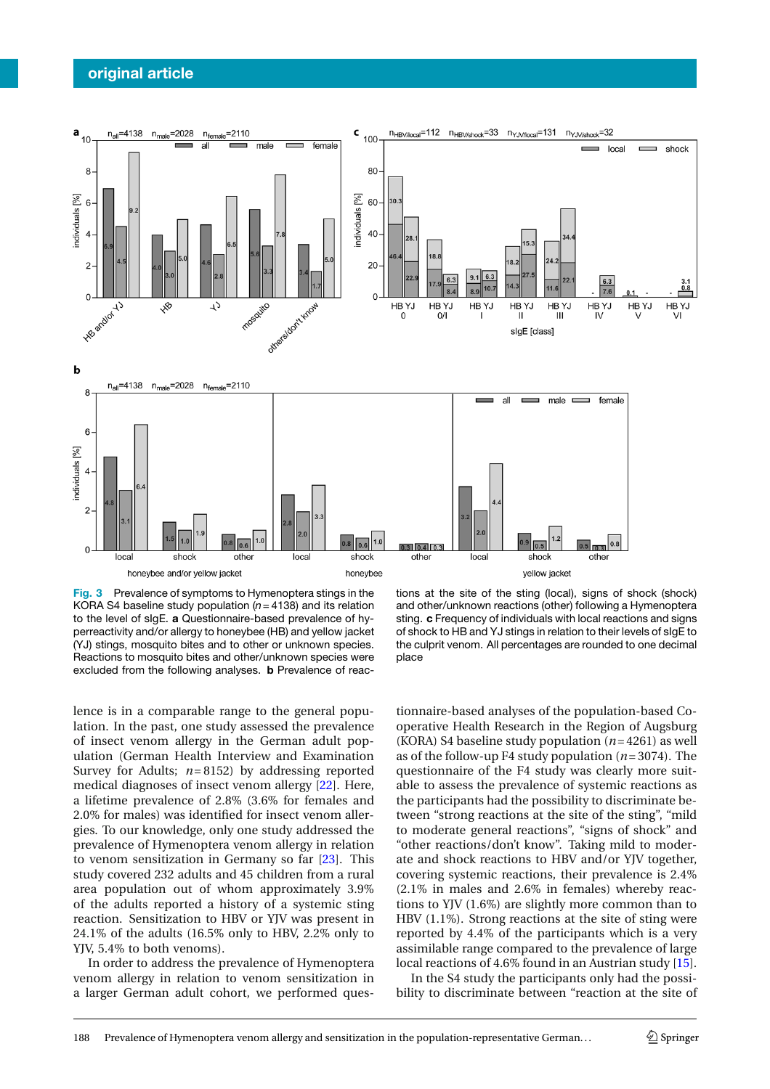# **original article**



<span id="page-5-0"></span>**Fig. 3** Prevalence of symptoms to Hymenoptera stings in the KORA S4 baseline study population (*n*= 4138) and its relation to the level of sIgE. **a** Questionnaire-based prevalence of hyperreactivity and/or allergy to honeybee (HB) and yellow jacket (YJ) stings, mosquito bites and to other or unknown species. Reactions to mosquito bites and other/unknown species were excluded from the following analyses. **b** Prevalence of reac-

tions at the site of the sting (local), signs of shock (shock) and other/unknown reactions (other) following a Hymenoptera sting. **c** Frequency of individuals with local reactions and signs of shock to HB and YJ stings in relation to their levels of sIgE to the culprit venom. All percentages are rounded to one decimal place

lence is in a comparable range to the general population. In the past, one study assessed the prevalence of insect venom allergy in the German adult population (German Health Interview and Examination Survey for Adults; *n*= 8152) by addressing reported medical diagnoses of insect venom allergy [\[22\]](#page-8-15). Here, a lifetime prevalence of 2.8% (3.6% for females and 2.0% for males) was identified for insect venom allergies. To our knowledge, only one study addressed the prevalence of Hymenoptera venom allergy in relation to venom sensitization in Germany so far [\[23\]](#page-8-16). This study covered 232 adults and 45 children from a rural area population out of whom approximately 3.9% of the adults reported a history of a systemic sting reaction. Sensitization to HBV or YJV was present in 24.1% of the adults (16.5% only to HBV, 2.2% only to YJV, 5.4% to both venoms).

In order to address the prevalence of Hymenoptera venom allergy in relation to venom sensitization in a larger German adult cohort, we performed questionnaire-based analyses of the population-based Cooperative Health Research in the Region of Augsburg (KORA) S4 baseline study population (*n*= 4261) as well as of the follow-up F4 study population (*n*= 3074). The questionnaire of the F4 study was clearly more suitable to assess the prevalence of systemic reactions as the participants had the possibility to discriminate between "strong reactions at the site of the sting", "mild to moderate general reactions", "signs of shock" and "other reactions/don't know". Taking mild to moderate and shock reactions to HBV and/or YJV together, covering systemic reactions, their prevalence is 2.4% (2.1% in males and 2.6% in females) whereby reactions to YJV (1.6%) are slightly more common than to HBV (1.1%). Strong reactions at the site of sting were reported by 4.4% of the participants which is a very assimilable range compared to the prevalence of large local reactions of 4.6% found in an Austrian study [\[15\]](#page-8-17).

In the S4 study the participants only had the possibility to discriminate between "reaction at the site of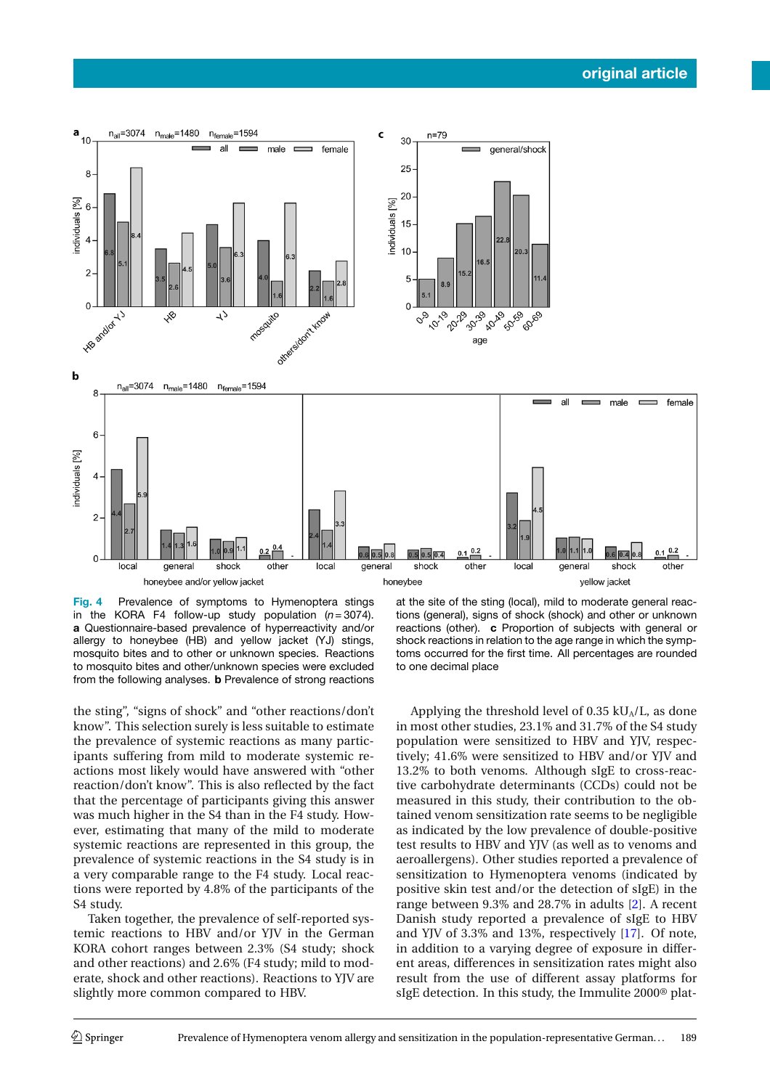

<span id="page-6-0"></span>**Fig. 4** Prevalence of symptoms to Hymenoptera stings in the KORA F4 follow-up study population (*n*= 3074). **a** Questionnaire-based prevalence of hyperreactivity and/or allergy to honeybee (HB) and yellow jacket (YJ) stings, mosquito bites and to other or unknown species. Reactions to mosquito bites and other/unknown species were excluded from the following analyses. **b** Prevalence of strong reactions

at the site of the sting (local), mild to moderate general reactions (general), signs of shock (shock) and other or unknown reactions (other). **c** Proportion of subjects with general or shock reactions in relation to the age range in which the symptoms occurred for the first time. All percentages are rounded to one decimal place

the sting", "signs of shock" and "other reactions/don't know". This selection surely is less suitable to estimate the prevalence of systemic reactions as many participants suffering from mild to moderate systemic reactions most likely would have answered with "other reaction/don't know". This is also reflected by the fact that the percentage of participants giving this answer was much higher in the S4 than in the F4 study. However, estimating that many of the mild to moderate systemic reactions are represented in this group, the prevalence of systemic reactions in the S4 study is in a very comparable range to the F4 study. Local reactions were reported by 4.8% of the participants of the S4 study.

Taken together, the prevalence of self-reported systemic reactions to HBV and/or YJV in the German KORA cohort ranges between 2.3% (S4 study; shock and other reactions) and 2.6% (F4 study; mild to moderate, shock and other reactions). Reactions to YJV are slightly more common compared to HBV.

Applying the threshold level of  $0.35 \text{ kU}_A/L$ , as done in most other studies, 23.1% and 31.7% of the S4 study population were sensitized to HBV and YJV, respectively; 41.6% were sensitized to HBV and/or YJV and 13.2% to both venoms. Although sIgE to cross-reactive carbohydrate determinants (CCDs) could not be measured in this study, their contribution to the obtained venom sensitization rate seems to be negligible as indicated by the low prevalence of double-positive test results to HBV and YJV (as well as to venoms and aeroallergens). Other studies reported a prevalence of sensitization to Hymenoptera venoms (indicated by positive skin test and/or the detection of sIgE) in the range between 9.3% and 28.7% in adults [\[2\]](#page-7-1). A recent Danish study reported a prevalence of sIgE to HBV and YJV of 3.3% and 13%, respectively [\[17\]](#page-8-12). Of note, in addition to a varying degree of exposure in different areas, differences in sensitization rates might also result from the use of different assay platforms for sIgE detection. In this study, the Immulite 2000® plat-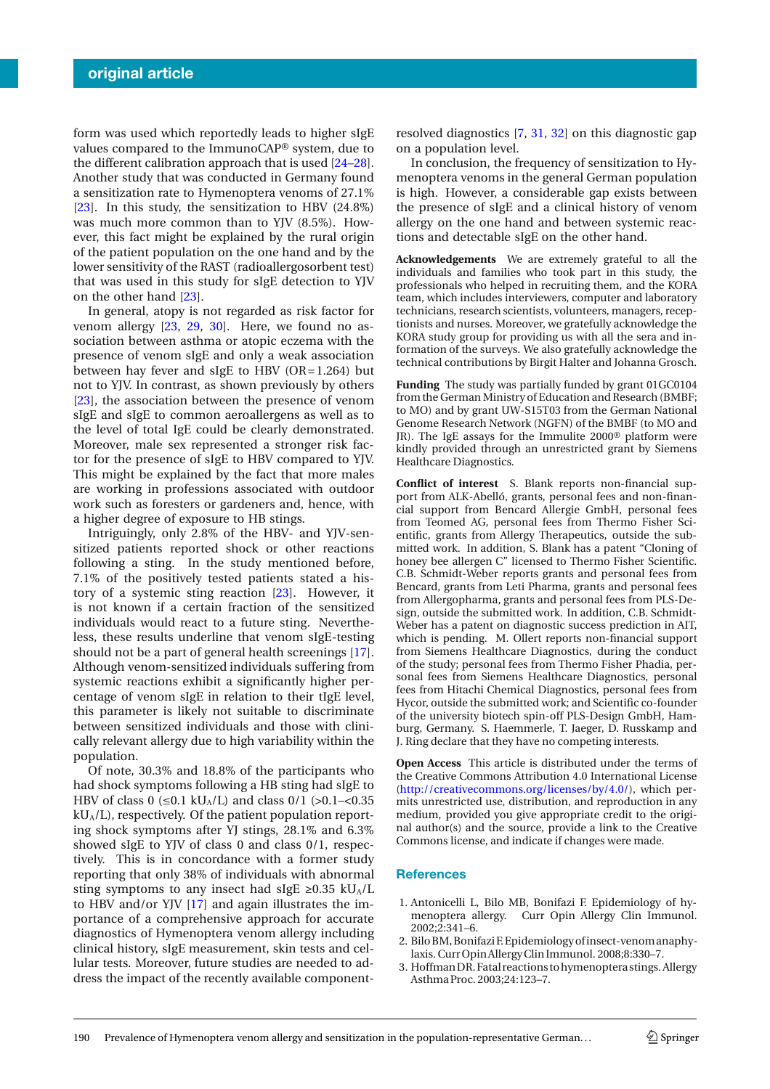form was used which reportedly leads to higher sIgE values compared to the ImmunoCAP® system, due to the different calibration approach that is used [\[24](#page-8-18)[–28\]](#page-8-19). Another study that was conducted in Germany found a sensitization rate to Hymenoptera venoms of 27.1% [\[23\]](#page-8-16). In this study, the sensitization to HBV (24.8%) was much more common than to YJV (8.5%). However, this fact might be explained by the rural origin of the patient population on the one hand and by the lower sensitivity of the RAST (radioallergosorbent test) that was used in this study for sIgE detection to YJV on the other hand [\[23\]](#page-8-16).

In general, atopy is not regarded as risk factor for venom allergy [\[23,](#page-8-16) [29,](#page-8-20) [30\]](#page-8-21). Here, we found no association between asthma or atopic eczema with the presence of venom sIgE and only a weak association between hay fever and sIgE to HBV ( $OR = 1.264$ ) but not to YJV. In contrast, as shown previously by others [\[23\]](#page-8-16), the association between the presence of venom sIgE and sIgE to common aeroallergens as well as to the level of total IgE could be clearly demonstrated. Moreover, male sex represented a stronger risk factor for the presence of sIgE to HBV compared to YJV. This might be explained by the fact that more males are working in professions associated with outdoor work such as foresters or gardeners and, hence, with a higher degree of exposure to HB stings.

Intriguingly, only 2.8% of the HBV- and YJV-sensitized patients reported shock or other reactions following a sting. In the study mentioned before, 7.1% of the positively tested patients stated a history of a systemic sting reaction [\[23\]](#page-8-16). However, it is not known if a certain fraction of the sensitized individuals would react to a future sting. Nevertheless, these results underline that venom sIgE-testing should not be a part of general health screenings [\[17\]](#page-8-12). Although venom-sensitized individuals suffering from systemic reactions exhibit a significantly higher percentage of venom sIgE in relation to their tIgE level, this parameter is likely not suitable to discriminate between sensitized individuals and those with clinically relevant allergy due to high variability within the population.

Of note, 30.3% and 18.8% of the participants who had shock symptoms following a HB sting had sIgE to HBV of class 0 ( $\leq 0.1$  kU<sub>A</sub>/L) and class 0/1 ( $> 0.1$ – $< 0.35$  $kU_A/L$ ), respectively. Of the patient population reporting shock symptoms after YJ stings, 28.1% and 6.3% showed sIgE to YJV of class 0 and class 0/1, respectively. This is in concordance with a former study reporting that only 38% of individuals with abnormal sting symptoms to any insect had sIgE  $\geq 0.35$  kU<sub>A</sub>/L to HBV and/or YJV [\[17\]](#page-8-12) and again illustrates the importance of a comprehensive approach for accurate diagnostics of Hymenoptera venom allergy including clinical history, sIgE measurement, skin tests and cellular tests. Moreover, future studies are needed to address the impact of the recently available componentresolved diagnostics [\[7,](#page-8-3) [31,](#page-8-22) [32\]](#page-8-23) on this diagnostic gap on a population level.

In conclusion, the frequency of sensitization to Hymenoptera venoms in the general German population is high. However, a considerable gap exists between the presence of sIgE and a clinical history of venom allergy on the one hand and between systemic reactions and detectable sIgE on the other hand.

**Acknowledgements** We are extremely grateful to all the individuals and families who took part in this study, the professionals who helped in recruiting them, and the KORA team, which includes interviewers, computer and laboratory technicians, research scientists, volunteers, managers, receptionists and nurses. Moreover, we gratefully acknowledge the KORA study group for providing us with all the sera and information of the surveys. We also gratefully acknowledge the technical contributions by Birgit Halter and Johanna Grosch.

**Funding** The study was partially funded by grant 01GC0104 from the German Ministry of Education and Research (BMBF; to MO) and by grant UW-S15T03 from the German National Genome Research Network (NGFN) of the BMBF (to MO and JR). The IgE assays for the Immulite 2000® platform were kindly provided through an unrestricted grant by Siemens Healthcare Diagnostics.

**Conflict of interest** S. Blank reports non-financial support from ALK-Abelló, grants, personal fees and non-financial support from Bencard Allergie GmbH, personal fees from Teomed AG, personal fees from Thermo Fisher Scientific, grants from Allergy Therapeutics, outside the submitted work. In addition, S. Blank has a patent "Cloning of honey bee allergen C" licensed to Thermo Fisher Scientific. C.B. Schmidt-Weber reports grants and personal fees from Bencard, grants from Leti Pharma, grants and personal fees from Allergopharma, grants and personal fees from PLS-Design, outside the submitted work. In addition, C.B. Schmidt-Weber has a patent on diagnostic success prediction in AIT, which is pending. M. Ollert reports non-financial support from Siemens Healthcare Diagnostics, during the conduct of the study; personal fees from Thermo Fisher Phadia, personal fees from Siemens Healthcare Diagnostics, personal fees from Hitachi Chemical Diagnostics, personal fees from Hycor, outside the submitted work; and Scientific co-founder of the university biotech spin-off PLS-Design GmbH, Hamburg, Germany. S. Haemmerle, T. Jaeger, D. Russkamp and J. Ring declare that they have no competing interests.

**Open Access** This article is distributed under the terms of the Creative Commons Attribution 4.0 International License [\(http://creativecommons.org/licenses/by/4.0/\)](http://creativecommons.org/licenses/by/4.0/), which permits unrestricted use, distribution, and reproduction in any medium, provided you give appropriate credit to the original author(s) and the source, provide a link to the Creative Commons license, and indicate if changes were made.

#### **References**

- <span id="page-7-0"></span>1. Antonicelli L, Bilo MB, Bonifazi F. Epidemiology of hymenoptera allergy. Curr Opin Allergy Clin Immunol. 2002;2:341–6.
- <span id="page-7-1"></span>2. Bilo BM, Bonifazi F. Epidemiology of insect-venom anaphylaxis. CurrOpinAllergyClin Immunol. 2008;8:330–7.
- <span id="page-7-2"></span>3. HoffmanDR.Fatal reactions tohymenoptera stings. Allergy AsthmaProc. 2003;24:123–7.